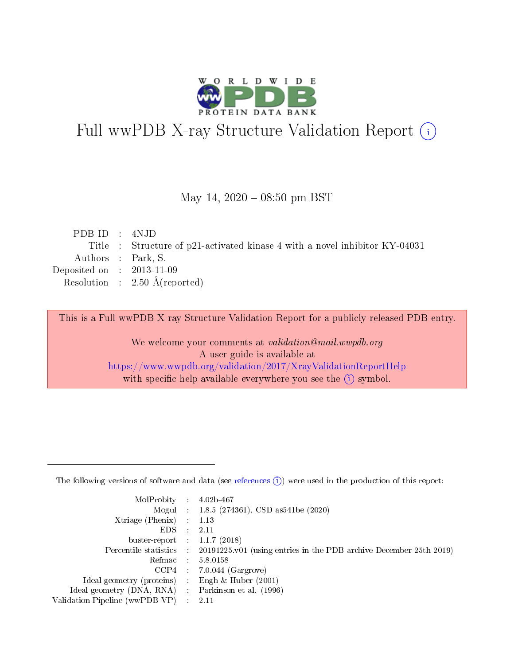

# Full wwPDB X-ray Structure Validation Report (i)

#### May 14,  $2020 - 08:50$  pm BST

| PDBID : 4NJD                |                                                                             |
|-----------------------------|-----------------------------------------------------------------------------|
|                             | Title : Structure of p21-activated kinase 4 with a novel inhibitor KY-04031 |
| Authors : Park, S.          |                                                                             |
| Deposited on : $2013-11-09$ |                                                                             |
|                             | Resolution : $2.50 \text{ Å}$ (reported)                                    |
|                             |                                                                             |

This is a Full wwPDB X-ray Structure Validation Report for a publicly released PDB entry.

We welcome your comments at validation@mail.wwpdb.org A user guide is available at <https://www.wwpdb.org/validation/2017/XrayValidationReportHelp> with specific help available everywhere you see the  $(i)$  symbol.

The following versions of software and data (see [references](https://www.wwpdb.org/validation/2017/XrayValidationReportHelp#references)  $(1)$ ) were used in the production of this report:

| MolProbity :                   |               | $4.02b - 467$                                                               |
|--------------------------------|---------------|-----------------------------------------------------------------------------|
|                                |               | Mogul : $1.8.5$ (274361), CSD as 541be (2020)                               |
| $X$ triage (Phenix) :          |               | 1.13                                                                        |
| EDS.                           |               | 2.11                                                                        |
| buster-report : $1.1.7$ (2018) |               |                                                                             |
| Percentile statistics :        |               | $20191225 \text{v}01$ (using entries in the PDB archive December 25th 2019) |
| Refmac :                       |               | 5.8.0158                                                                    |
| $CCP4$ :                       |               | $7.0.044$ (Gargrove)                                                        |
| Ideal geometry (proteins) :    |               | Engh $\&$ Huber (2001)                                                      |
| Ideal geometry (DNA, RNA) :    |               | Parkinson et al. (1996)                                                     |
| Validation Pipeline (wwPDB-VP) | $\mathcal{L}$ | 2.11                                                                        |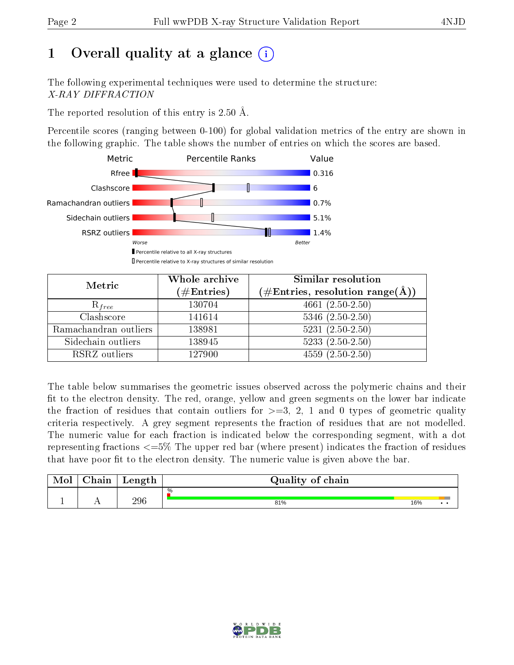# 1 [O](https://www.wwpdb.org/validation/2017/XrayValidationReportHelp#overall_quality)verall quality at a glance  $(i)$

The following experimental techniques were used to determine the structure: X-RAY DIFFRACTION

The reported resolution of this entry is 2.50 Å.

Percentile scores (ranging between 0-100) for global validation metrics of the entry are shown in the following graphic. The table shows the number of entries on which the scores are based.



| Metric                | Whole archive<br>$(\#\text{Entries})$ | Similar resolution<br>$(\#\text{Entries},\,\text{resolution}\,\,\text{range}(\textup{\AA}))$ |  |  |
|-----------------------|---------------------------------------|----------------------------------------------------------------------------------------------|--|--|
| $R_{free}$            | 130704                                | 4661 $(2.50-2.50)$                                                                           |  |  |
| Clashscore            | 141614                                | $5346$ $(2.50-2.50)$                                                                         |  |  |
| Ramachandran outliers | 138981                                | $\overline{5231}$ $(2.50-2.50)$                                                              |  |  |
| Sidechain outliers    | 138945                                | $5233(2.50-2.50)$                                                                            |  |  |
| RSRZ outliers         | 127900                                | $4559(2.50-2.50)$                                                                            |  |  |

The table below summarises the geometric issues observed across the polymeric chains and their fit to the electron density. The red, orange, yellow and green segments on the lower bar indicate the fraction of residues that contain outliers for  $>=3, 2, 1$  and 0 types of geometric quality criteria respectively. A grey segment represents the fraction of residues that are not modelled. The numeric value for each fraction is indicated below the corresponding segment, with a dot representing fractions <=5% The upper red bar (where present) indicates the fraction of residues that have poor fit to the electron density. The numeric value is given above the bar.

| Mol | $\cap$ hain | Length | Quality of chain |     |     |
|-----|-------------|--------|------------------|-----|-----|
|     |             |        | %                |     |     |
|     |             | 296    | 81%              | 16% | . . |

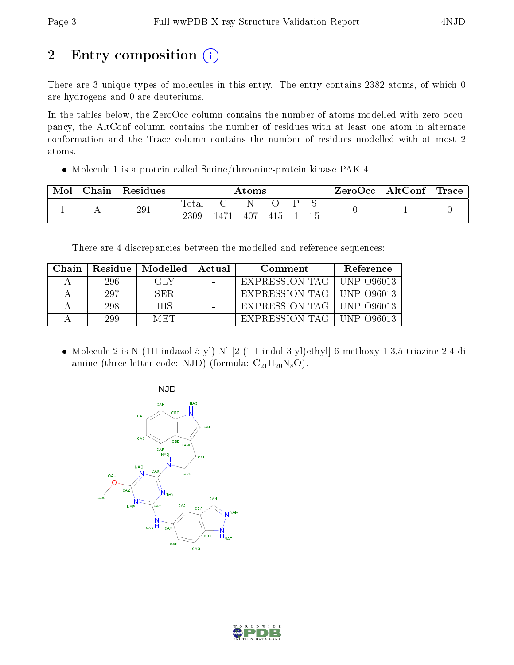# 2 Entry composition (i)

There are 3 unique types of molecules in this entry. The entry contains 2382 atoms, of which 0 are hydrogens and 0 are deuteriums.

In the tables below, the ZeroOcc column contains the number of atoms modelled with zero occupancy, the AltConf column contains the number of residues with at least one atom in alternate conformation and the Trace column contains the number of residues modelled with at most 2 atoms.

Molecule 1 is a protein called Serine/threonine-protein kinase PAK 4.

| Mol | Chain ' | $^{\shortmid}$ Residues $_{\shortmid}$ | Atoms         |      |     |     |  | $\text{ZeroOcc}$   AltConf   Trace |  |  |
|-----|---------|----------------------------------------|---------------|------|-----|-----|--|------------------------------------|--|--|
|     |         | 291                                    | Total<br>2309 | 1471 | 407 | 415 |  | 15                                 |  |  |

There are 4 discrepancies between the modelled and reference sequences:

| Chain |     | Residue   Modelled   Actual | Comment                     | Reference |
|-------|-----|-----------------------------|-----------------------------|-----------|
|       | 296 | -GLY                        | EXPRESSION TAG   UNP 096013 |           |
|       | 297 | - SER -                     | EXPRESSION TAG   UNP 096013 |           |
|       | 298 | HIS.                        | EXPRESSION TAG   UNP 096013 |           |
|       | 299 | MET                         | EXPRESSION TAG   UNP 096013 |           |

 Molecule 2 is N-(1H-indazol-5-yl)-N'-[2-(1H-indol-3-yl)ethyl]-6-methoxy-1,3,5-triazine-2,4-di amine (three-letter code: NJD) (formula:  $C_{21}H_{20}N_8O$ ).



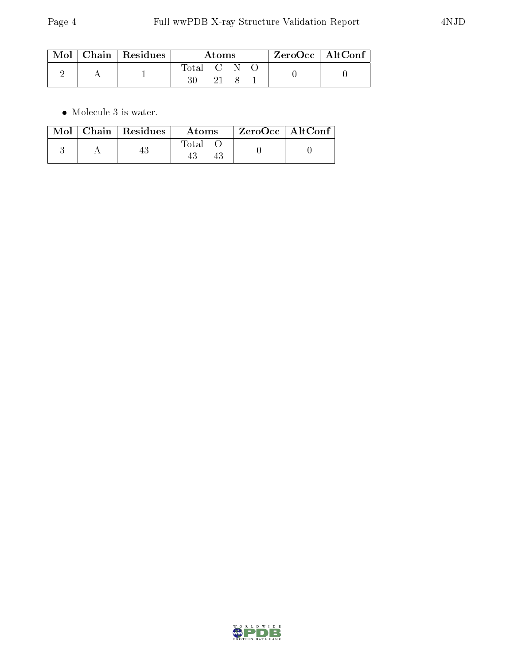|  | $\mid$ Mol $\mid$ Chain $\mid$ Residues | Atoms     |  |  | $ZeroOcc \   \ AltConf$ |  |
|--|-----------------------------------------|-----------|--|--|-------------------------|--|
|  |                                         | Total C N |  |  |                         |  |

 $\bullet\,$  Molecule 3 is water.

|  | $Mol$   Chain   Residues | Atoms | ZeroOcc   AltConf |  |
|--|--------------------------|-------|-------------------|--|
|  |                          | Fotal |                   |  |

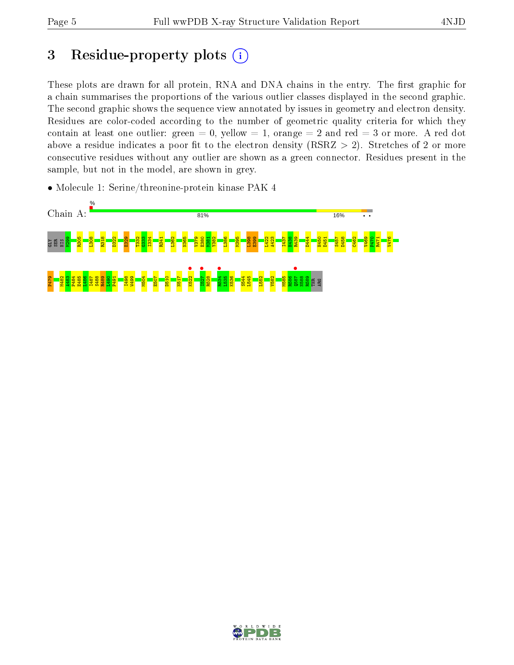## 3 Residue-property plots  $(i)$

These plots are drawn for all protein, RNA and DNA chains in the entry. The first graphic for a chain summarises the proportions of the various outlier classes displayed in the second graphic. The second graphic shows the sequence view annotated by issues in geometry and electron density. Residues are color-coded according to the number of geometric quality criteria for which they contain at least one outlier: green  $= 0$ , yellow  $= 1$ , orange  $= 2$  and red  $= 3$  or more. A red dot above a residue indicates a poor fit to the electron density (RSRZ  $> 2$ ). Stretches of 2 or more consecutive residues without any outlier are shown as a green connector. Residues present in the sample, but not in the model, are shown in grey.

• Molecule 1: Serine/threonine-protein kinase PAK 4



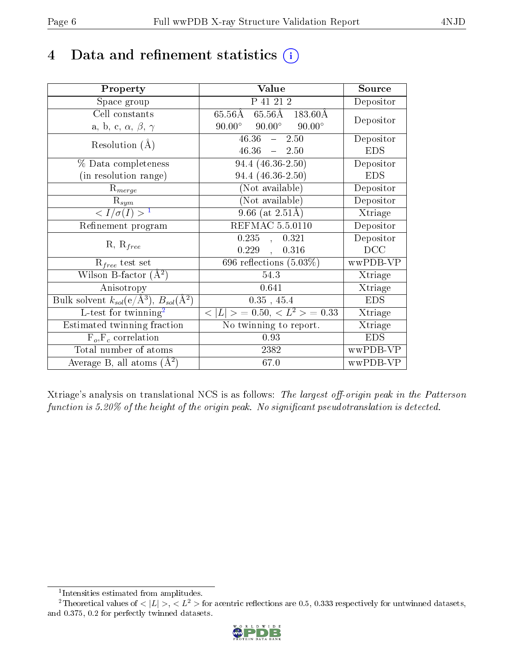## 4 Data and refinement statistics  $(i)$

| Property                                                         | Value                                                  | Source     |
|------------------------------------------------------------------|--------------------------------------------------------|------------|
| Space group                                                      | P 41 21 2                                              | Depositor  |
| Cell constants                                                   | $65.56\text{\AA}$ $65.56\text{\AA}$ $183.60\text{\AA}$ | Depositor  |
| a, b, c, $\alpha$ , $\beta$ , $\gamma$                           | $90.00^{\circ}$ $90.00^{\circ}$<br>$90.00^\circ$       |            |
| Resolution $(A)$                                                 | $46.36 - 2.50$                                         | Depositor  |
|                                                                  | $46.36 - 2.50$                                         | <b>EDS</b> |
| $\%$ Data completeness                                           | $94.4(46.36-2.50)$                                     | Depositor  |
| (in resolution range)                                            | $94.4(46.36-2.50)$                                     | <b>EDS</b> |
| $R_{merge}$                                                      | (Not available)                                        | Depositor  |
| $\mathrm{R}_{sym}$                                               | $(Not\ avariable)$                                     | Depositor  |
| $\langle I/\sigma(I) \rangle^{-1}$                               | $9.66$ (at $2.51\text{\AA}$ )                          | Xtriage    |
| Refinement program                                               | <b>REFMAC 5.5.0110</b>                                 | Depositor  |
|                                                                  | 0.235,<br>0.321                                        | Depositor  |
| $R, R_{free}$                                                    | 0.229,<br>0.316                                        | DCC        |
| $R_{free}$ test set                                              | 696 reflections $(5.03\%)$                             | wwPDB-VP   |
| Wilson B-factor $(A^2)$                                          | 54.3                                                   | Xtriage    |
| Anisotropy                                                       | 0.641                                                  | Xtriage    |
| Bulk solvent $k_{sol}(\text{e}/\text{A}^3), B_{sol}(\text{A}^2)$ | $0.35$ , 45.4                                          | <b>EDS</b> |
| L-test for $\mathrm{twinning}^2$                                 | $< L >$ = 0.50, $< L2$ > = 0.33                        | Xtriage    |
| Estimated twinning fraction                                      | No twinning to report.                                 | Xtriage    |
| $\overline{F_o}, \overline{F_c}$ correlation                     | 0.93                                                   | <b>EDS</b> |
| Total number of atoms                                            | 2382                                                   | wwPDB-VP   |
| Average B, all atoms $(A^2)$                                     | 67.0                                                   | wwPDB-VP   |

Xtriage's analysis on translational NCS is as follows: The largest off-origin peak in the Patterson function is  $5.20\%$  of the height of the origin peak. No significant pseudotranslation is detected.

<sup>&</sup>lt;sup>2</sup>Theoretical values of  $\langle |L| \rangle$ ,  $\langle L^2 \rangle$  for acentric reflections are 0.5, 0.333 respectively for untwinned datasets, and 0.375, 0.2 for perfectly twinned datasets.



<span id="page-5-1"></span><span id="page-5-0"></span><sup>1</sup> Intensities estimated from amplitudes.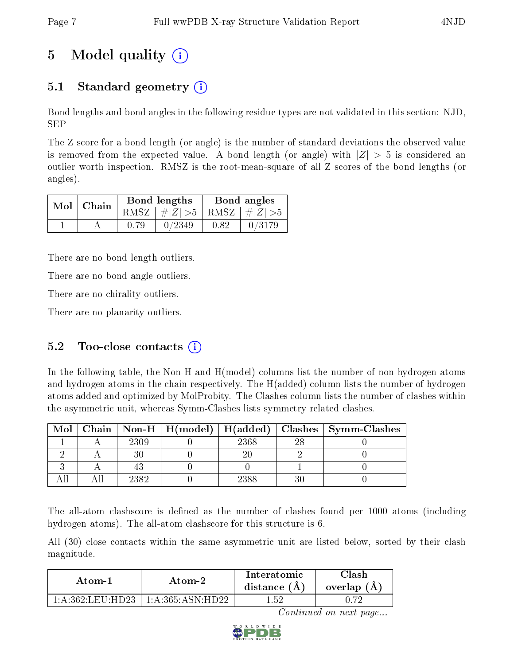# 5 Model quality  $(i)$

### 5.1 Standard geometry (i)

Bond lengths and bond angles in the following residue types are not validated in this section: NJD, SEP

The Z score for a bond length (or angle) is the number of standard deviations the observed value is removed from the expected value. A bond length (or angle) with  $|Z| > 5$  is considered an outlier worth inspection. RMSZ is the root-mean-square of all Z scores of the bond lengths (or angles).

| $Mol$   Chain |      | Bond lengths                    | Bond angles |        |  |
|---------------|------|---------------------------------|-------------|--------|--|
|               |      | RMSZ $ #Z  > 5$ RMSZ $ #Z  > 5$ |             |        |  |
|               | 0.79 | 0/2349                          | 0.82        | 0/3179 |  |

There are no bond length outliers.

There are no bond angle outliers.

There are no chirality outliers.

There are no planarity outliers.

### 5.2 Too-close contacts  $(i)$

In the following table, the Non-H and H(model) columns list the number of non-hydrogen atoms and hydrogen atoms in the chain respectively. The H(added) column lists the number of hydrogen atoms added and optimized by MolProbity. The Clashes column lists the number of clashes within the asymmetric unit, whereas Symm-Clashes lists symmetry related clashes.

| Mol |      |      |     | Chain   Non-H   H(model)   H(added)   Clashes   Symm-Clashes |
|-----|------|------|-----|--------------------------------------------------------------|
|     | 2309 | 2368 | റ്റ |                                                              |
|     |      |      |     |                                                              |
|     |      |      |     |                                                              |
|     | 2382 | 2388 |     |                                                              |

The all-atom clashscore is defined as the number of clashes found per 1000 atoms (including hydrogen atoms). The all-atom clashscore for this structure is 6.

All (30) close contacts within the same asymmetric unit are listed below, sorted by their clash magnitude.

| Atom-2            |                        | Interatomic    | Clash       |  |
|-------------------|------------------------|----------------|-------------|--|
| Atom-1            |                        | distance $(A)$ | overlap (A, |  |
| 1 A 362 LEII HD23 | $-1:$ A:365: ASN: HD22 | 159            |             |  |

Continued on next page...

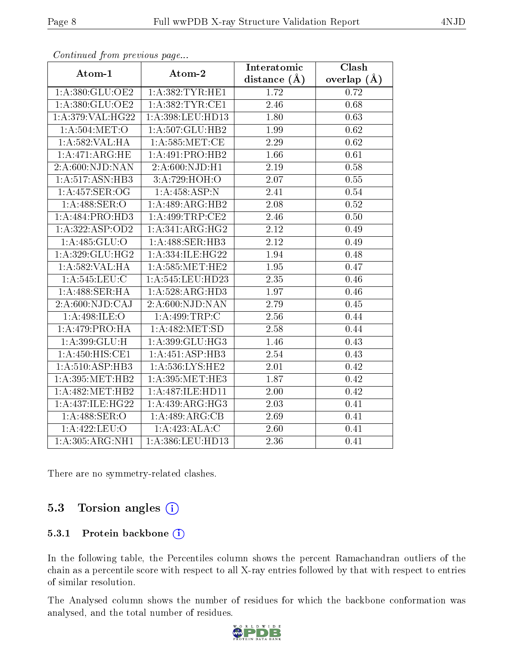| $\sum_{i=1}^{n}$    |                             | Interatomic       | Clash         |
|---------------------|-----------------------------|-------------------|---------------|
| Atom-1              | Atom-2                      | distance $(A)$    | overlap $(A)$ |
| 1:A:380:GLU:OE2     | 1: A:382:TYR:HE1            | 1.72              | 0.72          |
| 1:A:380:GLU:OE2     | 1:A:382:TYR:CE1             | 2.46              | 0.68          |
| 1:A:379:VAL:HG22    | 1:A:398:LEU:HD13            | 1.80              | 0.63          |
| 1:A:504:MET:O       | 1:A:507:GLU:HB2             | 1.99              | 0.62          |
| 1:A:582:VAL:HA      | 1: A:585: MET:CE            | 2.29              | 0.62          |
| 1:A:471:ARG:HE      | 1:A:491:PRO:HB2             | 1.66              | 0.61          |
| 2: A:600: NJD: NAN  | $2:A:600:\overline{NJD:H1}$ | 2.19              | 0.58          |
| 1: A:517: ASN:HB3   | 3:A:729:HOH:O               | 2.07              | 0.55          |
| 1:A:457:SER:OG      | 1: A: 458: ASP: N           | 2.41              | 0.54          |
| 1:A:488:SER:O       | 1:A:489:ARG:HB2             | 2.08              | 0.52          |
| 1:A:484:PRO:HD3     | 1:A:499:TRP:CE2             | 2.46              | 0.50          |
| 1: A: 322: ASP: OD2 | 1:A:341:ARG:HG2             | 2.12              | 0.49          |
| 1: A: 485: GLU: O   | 1:A:488:SER:HB3             | 2.12              | 0.49          |
| 1:A:329:GLU:HG2     | 1:A:334:ILE:HG22            | 1.94              | 0.48          |
| 1:A:582:VAL:HA      | 1: A:585:MET:HE2            | 1.95              | 0.47          |
| 1:A:545:LEU:C       | 1:A:545:LEU:HD23            | 2.35              | 0.46          |
| 1:A:488:SER:HA      | 1:A:528:ARG:HD3             | 1.97              | 0.46          |
| 2:A:600:NJD:CAJ     | 2: A:600: NJD: NAN          | 2.79              | 0.45          |
| 1:A:498:ILE:O       | 1:A:499:TRP:C               | 2.56              | 0.44          |
| 1: A:479: PRO:HA    | 1:A:482:MET:SD              | 2.58              | 0.44          |
| 1:A:399:GLU:H       | 1:A:399:GLU:HG3             | 1.46              | 0.43          |
| 1:A:450:HIS:CE1     | 1:A:451:ASP:HB3             | 2.54              | 0.43          |
| 1: A: 510: ASP: HB3 | 1: A:536:LYS:HE2            | 2.01              | 0.42          |
| 1: A:395:MET:HB2    | 1:A:395:MET:HE3             | 1.87              | 0.42          |
| 1:A:482:MET:HB2     | 1:A:487:ILE:HD11            | 2.00              | 0.42          |
| 1:A:437:ILE:HG22    | 1: A:439: ARG:HG3           | $\overline{2}.03$ | 0.41          |
| 1: A:488: SER:O     | 1:A:489:ARG:CB              | 2.69              | 0.41          |
| 1:A:422:LEU:O       | 1:A:423:ALA:C               | 2.60              | 0.41          |
| 1:A:305:ARG:NH1     | 1:A:386:LEU:HD13            | 2.36              | 0.41          |

Continued from previous page...

There are no symmetry-related clashes.

### 5.3 Torsion angles (i)

#### 5.3.1 Protein backbone (i)

In the following table, the Percentiles column shows the percent Ramachandran outliers of the chain as a percentile score with respect to all X-ray entries followed by that with respect to entries of similar resolution.

The Analysed column shows the number of residues for which the backbone conformation was analysed, and the total number of residues.

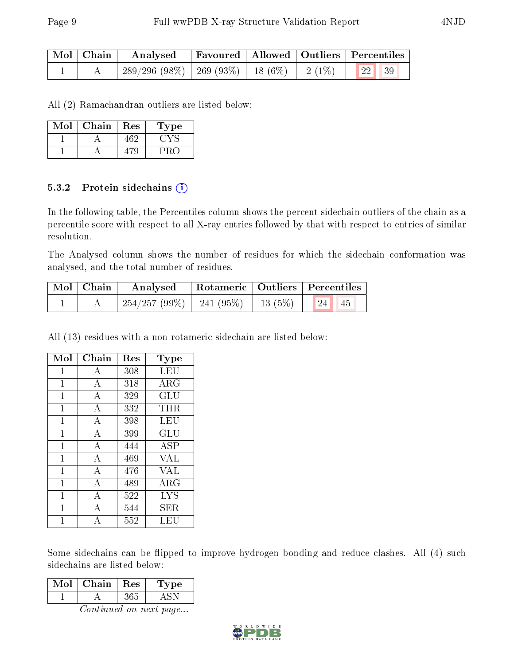| $\mid$ Mol $\mid$ Chain $\mid$ | $\boldsymbol{\mathrm{Analysed}}$                             | Favoured   Allowed   Outliers   Percentiles |  |  |
|--------------------------------|--------------------------------------------------------------|---------------------------------------------|--|--|
|                                | $289/296$ (98\%)   269 (93\%)   18 (6\%)   2 (1\%)   22   39 |                                             |  |  |

All (2) Ramachandran outliers are listed below:

| Mol | Chain | Res | L'ype |
|-----|-------|-----|-------|
|     |       | 462 |       |
|     |       |     |       |

#### 5.3.2 Protein sidechains (i)

In the following table, the Percentiles column shows the percent sidechain outliers of the chain as a percentile score with respect to all X-ray entries followed by that with respect to entries of similar resolution.

The Analysed column shows the number of residues for which the sidechain conformation was analysed, and the total number of residues.

| Mol   Chain | Analysed                                    |  | Rotameric   Outliers   Percentiles |  |
|-------------|---------------------------------------------|--|------------------------------------|--|
|             | $254/257 (99\%)$   241 (95%)   13 (5%)   24 |  | 45                                 |  |

All (13) residues with a non-rotameric sidechain are listed below:

| Mol          | Chain | Res | <b>Type</b> |
|--------------|-------|-----|-------------|
| 1            | А     | 308 | LEU         |
| $\mathbf{1}$ | A     | 318 | $\rm{ARG}$  |
| 1            | А     | 329 | GLU         |
| $\mathbf 1$  | А     | 332 | THR         |
| $\mathbf{1}$ | А     | 398 | LEU         |
| 1            | А     | 399 | GLU         |
| $\mathbf 1$  | A     | 444 | ASP         |
| $\mathbf{1}$ | A     | 469 | <b>VAL</b>  |
| $\mathbf{1}$ | А     | 476 | <b>VAL</b>  |
| $\mathbf 1$  | A     | 489 | $\rm{ARG}$  |
| 1            | А     | 522 | <b>LYS</b>  |
| 1            | А     | 544 | ${\rm SER}$ |
| 1            | А     | 552 | LEU         |

Some sidechains can be flipped to improve hydrogen bonding and reduce clashes. All (4) such sidechains are listed below:

Continued on next page...

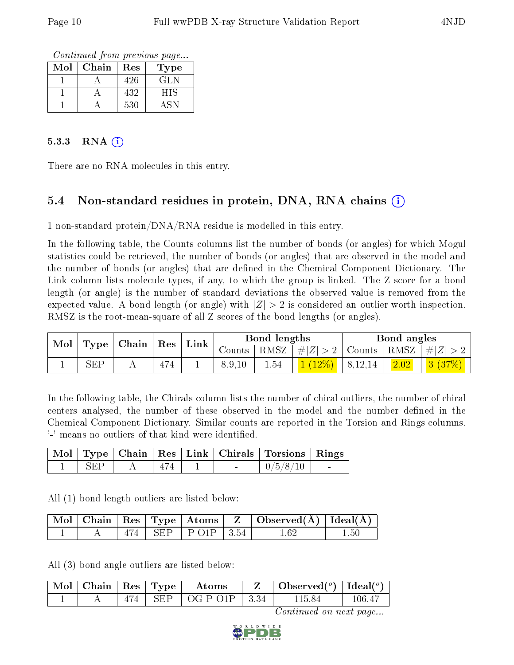Continued from previous page...

| $\operatorname{Mol}$ | Chain | Res | Type |
|----------------------|-------|-----|------|
|                      |       | 426 | GL N |
|                      |       | 432 | HIS  |
|                      |       | 530 |      |

#### $5.3.3$  RNA  $(i)$

There are no RNA molecules in this entry.

### 5.4 Non-standard residues in protein, DNA, RNA chains (i)

1 non-standard protein/DNA/RNA residue is modelled in this entry.

In the following table, the Counts columns list the number of bonds (or angles) for which Mogul statistics could be retrieved, the number of bonds (or angles) that are observed in the model and the number of bonds (or angles) that are defined in the Chemical Component Dictionary. The Link column lists molecule types, if any, to which the group is linked. The Z score for a bond length (or angle) is the number of standard deviations the observed value is removed from the expected value. A bond length (or angle) with  $|Z| > 2$  is considered an outlier worth inspection. RMSZ is the root-mean-square of all Z scores of the bond lengths (or angles).

|                                   |     | $\pm$ Link $\pm$ |        | Bond lengths |           |                 | Bond angles                                                  |  |
|-----------------------------------|-----|------------------|--------|--------------|-----------|-----------------|--------------------------------------------------------------|--|
| $\text{Mol}$   Type   Chain   Res |     | Counts           |        |              |           |                 | $\mid$ RMSZ $\mid$ $\# Z  > 2$   Counts   RMSZ   $\# Z  > 2$ |  |
| SEP                               | 474 |                  | 8,9,10 | $1.54\,$     | $1(12\%)$ | $\pm 8, 12, 14$ | 2.02                                                         |  |

In the following table, the Chirals column lists the number of chiral outliers, the number of chiral centers analysed, the number of these observed in the model and the number defined in the Chemical Component Dictionary. Similar counts are reported in the Torsion and Rings columns. '-' means no outliers of that kind were identified.

|            |     |  | Mol   Type   Chain   Res   Link   Chirals   Torsions   Rings |  |
|------------|-----|--|--------------------------------------------------------------|--|
| <b>SEP</b> | 474 |  | 0/5/8/10                                                     |  |

All (1) bond length outliers are listed below:

|  |  |                                  | $\vert$ Mol $\vert$ Chain $\vert$ Res $\vert$ Type $\vert$ Atoms $\vert$ Z $\vert$ Observed(A) $\vert$ Ideal(A) |          |
|--|--|----------------------------------|-----------------------------------------------------------------------------------------------------------------|----------|
|  |  | $\pm$ SEP $\pm$ P-O1P $\pm$ 3.54 | l 69                                                                                                            | $1.50\,$ |

All (3) bond angle outliers are listed below:

|  |  | $\lceil \,\text{Mol} \,\rceil$ Chain $\mid$ Res $\mid$ Type $\mid$ Atoms | $\mid$ Observed $({}^o)\mid$ Ideal $({}^o)\mid$ |        |
|--|--|--------------------------------------------------------------------------|-------------------------------------------------|--------|
|  |  | $474$   SEP   OG-P-O1P   3.34                                            | 115.84                                          | 106-41 |

Continued on next page...

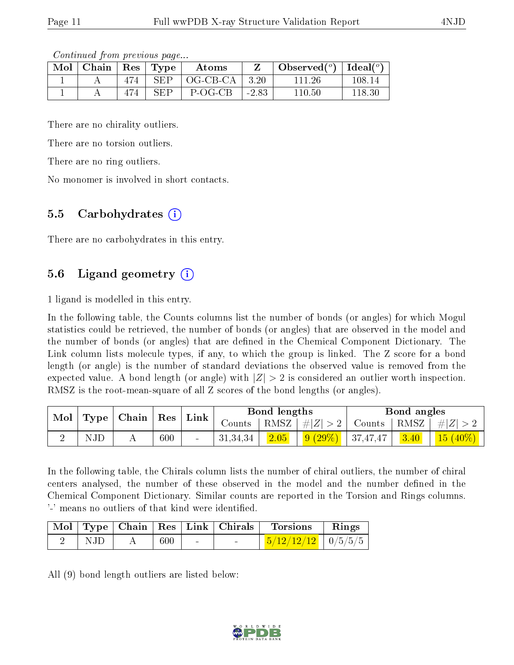Continued from previous page...

| Mol | $\vert$ Chain $\vert$ Res $\vert$ Type |     |            | Atoms    |              | Observed <sup>(<math>\circ</math>)</sup> [deal( $\circ$ ) |        |
|-----|----------------------------------------|-----|------------|----------|--------------|-----------------------------------------------------------|--------|
|     |                                        | 474 | <b>SEP</b> | OG-CB-CA | $\vert$ 3.20 | 111-26                                                    | 108.14 |
|     |                                        | 474 | SEP        | P-OG-CB  | $-2.83$      | 110.50                                                    | 118.30 |

There are no chirality outliers.

There are no torsion outliers.

There are no ring outliers.

No monomer is involved in short contacts.

#### 5.5 Carbohydrates (i)

There are no carbohydrates in this entry.

### 5.6 Ligand geometry (i)

1 ligand is modelled in this entry.

In the following table, the Counts columns list the number of bonds (or angles) for which Mogul statistics could be retrieved, the number of bonds (or angles) that are observed in the model and the number of bonds (or angles) that are dened in the Chemical Component Dictionary. The Link column lists molecule types, if any, to which the group is linked. The Z score for a bond length (or angle) is the number of standard deviations the observed value is removed from the expected value. A bond length (or angle) with  $|Z| > 2$  is considered an outlier worth inspection. RMSZ is the root-mean-square of all Z scores of the bond lengths (or angles).

| $\bf{Mol}$ | Type | Chain |         | $\operatorname{Res}$ | Link       | Bond lengths |                                                                                    |        | Bond angles  |              |  |
|------------|------|-------|---------|----------------------|------------|--------------|------------------------------------------------------------------------------------|--------|--------------|--------------|--|
|            |      |       |         |                      | Counts     | RMSZ         | #Z  > 2                                                                            | Counts | $+$ RMSZ $+$ | $\# Z $      |  |
|            | ΝJΕ  |       | $600\,$ | $\sim$               | 31, 34, 34 | 2.05         | $\begin{array}{ c c c c c c c c } \hline 9 & (29\%) & 37,47,47 \hline \end{array}$ |        | 3.40         | $(15 (40\%)$ |  |

In the following table, the Chirals column lists the number of chiral outliers, the number of chiral centers analysed, the number of these observed in the model and the number defined in the Chemical Component Dictionary. Similar counts are reported in the Torsion and Rings columns. '-' means no outliers of that kind were identified.

|     |     |  | $\mid$ Mol $\mid$ Type $\mid$ Chain $\mid$ Res $\mid$ Link $\mid$ Chirals $\mid$ Torsions | $\parallel$ Rings |
|-----|-----|--|-------------------------------------------------------------------------------------------|-------------------|
| NJD | 600 |  | $\frac{5}{12/12/12}$   0/5/5/5                                                            |                   |

All (9) bond length outliers are listed below:

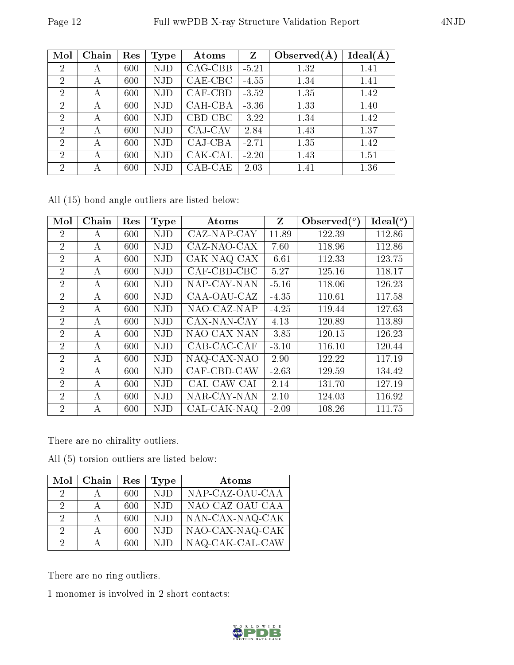| $W_0 \sim 12$  | r an wwr DD in ray Duraceare vanaaelon reepore |     |             |           |         |                |          |  |  |  |
|----------------|------------------------------------------------|-----|-------------|-----------|---------|----------------|----------|--|--|--|
|                |                                                |     |             |           |         |                |          |  |  |  |
| Mol            | Chain                                          | Res | <b>Type</b> | Atoms     | Z       | Observed $(A)$ | Ideal(A) |  |  |  |
| $\overline{2}$ | А                                              | 600 | NJD         | $CAG-CBB$ | $-5.21$ | 1.32           | 1.41     |  |  |  |
| $\overline{2}$ | А                                              | 600 | NJD         | CAE-CBC   | $-4.55$ | 1.34           | 1.41     |  |  |  |
| $\overline{2}$ | А                                              | 600 | NJD         | CAF-CBD   | $-3.52$ | 1.35           | 1.42     |  |  |  |
| $\overline{2}$ | А                                              | 600 | NJD         | CAH-CBA   | $-3.36$ | 1.33           | 1.40     |  |  |  |
| $\overline{2}$ | А                                              | 600 | NJD         | CBD-CBC   | $-3.22$ | 1.34           | 1.42     |  |  |  |
| $\overline{2}$ | А                                              | 600 | NJD         | CAJ-CAV   | 2.84    | 1.43           | 1.37     |  |  |  |
| $\overline{2}$ | А                                              | 600 | NJD         | CAJ-CBA   | $-2.71$ | 1.35           | 1.42     |  |  |  |
| $\overline{2}$ | A                                              | 600 | NJD         | CAK-CAL   | $-2.20$ | 1.43           | 1.51     |  |  |  |
| $\overline{2}$ | А                                              | 600 | NJD         | CAB-CAE   | 2.03    | 1.41           | 1.36     |  |  |  |

All (15) bond angle outliers are listed below:

| Mol            | Chain | Res | <b>Type</b> | Atoms                           | $Z_{\parallel}$ | Observed $(°)$ | Ideal $(^\circ)$ |
|----------------|-------|-----|-------------|---------------------------------|-----------------|----------------|------------------|
| $\overline{2}$ | A     | 600 | <b>NJD</b>  | CAZ-NAP-CAY                     | 11.89           | 122.39         | 112.86           |
| $\overline{2}$ | А     | 600 | <b>NJD</b>  | CAZ-NAO-CAX                     | 7.60            | 118.96         | 112.86           |
| $\overline{2}$ | А     | 600 | <b>NJD</b>  | CAK-NAQ-CAX                     | $-6.61$         | 112.33         | 123.75           |
| $\overline{2}$ | А     | 600 | <b>NJD</b>  | CAF-CBD-CBC                     | 5.27            | 125.16         | 118.17           |
| $\overline{2}$ | А     | 600 | <b>NJD</b>  | NAP-CAY-NAN                     | $-5.16$         | 118.06         | 126.23           |
| $\overline{2}$ | А     | 600 | <b>NJD</b>  | CAA-OAU-CAZ                     | $-4.35$         | 110.61         | 117.58           |
| $\overline{2}$ | А     | 600 | <b>NJD</b>  | NAO-CAZ-NAP                     | $-4.25$         | 119.44         | 127.63           |
| $\overline{2}$ | A     | 600 | <b>NJD</b>  | CAX-NAN-CAY                     | 4.13            | 120.89         | 113.89           |
| $\overline{2}$ | А     | 600 | <b>NJD</b>  | NAO-CAX-NAN                     | $-3.85$         | 120.15         | 126.23           |
| 2              | А     | 600 | <b>NJD</b>  | CAB-CAC-CAF                     | $-3.10$         | 116.10         | 120.44           |
| $\overline{2}$ | А     | 600 | <b>NJD</b>  | NAQ-CAX-NAO                     | 2.90            | 122.22         | 117.19           |
| $\overline{2}$ | A     | 600 | <b>NJD</b>  | CAF-CBD-CAW                     | $-2.63$         | 129.59         | 134.42           |
| $\overline{2}$ | А     | 600 | <b>NJD</b>  | CAL-CAW-CAI                     | 2.14            | 131.70         | 127.19           |
| $\overline{2}$ | А     | 600 | <b>NJD</b>  | NAR-CAY-NAN                     | 2.10            | 124.03         | 116.92           |
| $\overline{2}$ | А     | 600 | <b>NJD</b>  | $\overline{\text{CAL-CAK-NAQ}}$ | $-2.09$         | 108.26         | 111.75           |

There are no chirality outliers.

All (5) torsion outliers are listed below:

| Mol           | Chain        | Res | <b>Type</b> | Atoms           |
|---------------|--------------|-----|-------------|-----------------|
| 2             |              | 600 | NJD         | NAP-CAZ-OAU-CAA |
| 2             | $\mathbf{A}$ | 600 | NJD         | NAO-CAZ-OAU-CAA |
| $\mathcal{D}$ | $\mathsf{A}$ | 600 | <b>NJD</b>  | NAN-CAX-NAQ-CAK |
| $\mathcal{D}$ | $\mathbf{A}$ | 600 | <b>NJD</b>  | NAO-CAX-NAQ-CAK |
| $\mathcal{D}$ |              | 600 | NJD         | NAQ-CAK-CAL-CAW |

There are no ring outliers.

1 monomer is involved in 2 short contacts:

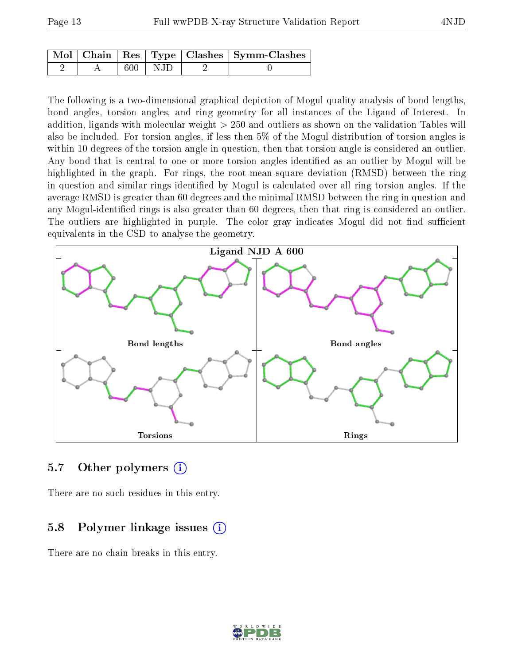|  |             | Mol   Chain   Res   Type   Clashes   Symm-Clashes |
|--|-------------|---------------------------------------------------|
|  | $600$   NJD |                                                   |

The following is a two-dimensional graphical depiction of Mogul quality analysis of bond lengths, bond angles, torsion angles, and ring geometry for all instances of the Ligand of Interest. In addition, ligands with molecular weight > 250 and outliers as shown on the validation Tables will also be included. For torsion angles, if less then 5% of the Mogul distribution of torsion angles is within 10 degrees of the torsion angle in question, then that torsion angle is considered an outlier. Any bond that is central to one or more torsion angles identified as an outlier by Mogul will be highlighted in the graph. For rings, the root-mean-square deviation (RMSD) between the ring in question and similar rings identified by Mogul is calculated over all ring torsion angles. If the average RMSD is greater than 60 degrees and the minimal RMSD between the ring in question and any Mogul-identified rings is also greater than 60 degrees, then that ring is considered an outlier. The outliers are highlighted in purple. The color gray indicates Mogul did not find sufficient equivalents in the CSD to analyse the geometry.



#### 5.7 [O](https://www.wwpdb.org/validation/2017/XrayValidationReportHelp#nonstandard_residues_and_ligands)ther polymers (i)

There are no such residues in this entry.

#### 5.8 Polymer linkage issues (i)

There are no chain breaks in this entry.

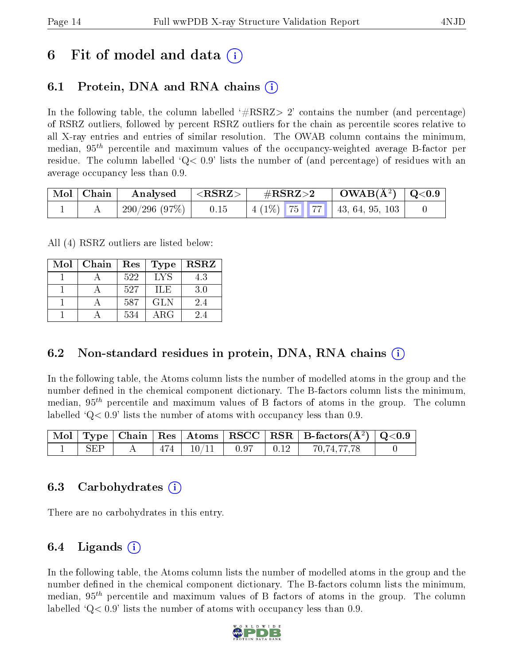## 6 Fit of model and data  $(i)$

### 6.1 Protein, DNA and RNA chains (i)

In the following table, the column labelled  $#RSRZ>2'$  contains the number (and percentage) of RSRZ outliers, followed by percent RSRZ outliers for the chain as percentile scores relative to all X-ray entries and entries of similar resolution. The OWAB column contains the minimum, median,  $95<sup>th</sup>$  percentile and maximum values of the occupancy-weighted average B-factor per residue. The column labelled  $Q < 0.9$  lists the number of (and percentage) of residues with an average occupancy less than 0.9.

| Mol   Chain | Analysed     | ${ <\hspace{-1.5pt} {\rm RSRZ} \hspace{-1.5pt}>}$ | $\#\mathrm{RSRZ}{>}2$ |  | $\rm OWAB(A^2)$   Q<0.9 |                                     |  |
|-------------|--------------|---------------------------------------------------|-----------------------|--|-------------------------|-------------------------------------|--|
|             | 290/296(97%) | 0.15                                              |                       |  |                         | $\mid$ 4 (1%) 75 77 43, 64, 95, 103 |  |

All (4) RSRZ outliers are listed below:

| Mol | Chain<br>Res |     | <b>Type</b> | <b>RSRZ</b> |
|-----|--------------|-----|-------------|-------------|
|     |              | 522 | <b>LYS</b>  | 4.3         |
|     |              | 527 | ILE         | 3.0         |
|     |              | 587 | <b>GLN</b>  | 2.4         |
|     |              | 534 | $\rm{ARG}$  | 24          |

### 6.2 Non-standard residues in protein, DNA, RNA chains  $(i)$

In the following table, the Atoms column lists the number of modelled atoms in the group and the number defined in the chemical component dictionary. The B-factors column lists the minimum, median,  $95<sup>th</sup>$  percentile and maximum values of B factors of atoms in the group. The column labelled  $Q< 0.9$ ' lists the number of atoms with occupancy less than 0.9.

|       |  |                               |  | $\mid$ Mol $\mid$ Type $\mid$ Chain $\mid$ Res $\mid$ Atoms $\mid$ RSCC $\mid$ RSR $\mid$ B-factors(A <sup>2</sup> ) $\mid$ Q<0.9 $\mid$ |  |
|-------|--|-------------------------------|--|------------------------------------------------------------------------------------------------------------------------------------------|--|
| . SEP |  | $474$   $10/11$   0.97   0.12 |  | 70,74,77,78                                                                                                                              |  |

#### 6.3 Carbohydrates (i)

There are no carbohydrates in this entry.

### 6.4 Ligands  $(i)$

In the following table, the Atoms column lists the number of modelled atoms in the group and the number defined in the chemical component dictionary. The B-factors column lists the minimum, median,  $95<sup>th</sup>$  percentile and maximum values of B factors of atoms in the group. The column labelled  $Q< 0.9$ ' lists the number of atoms with occupancy less than 0.9.